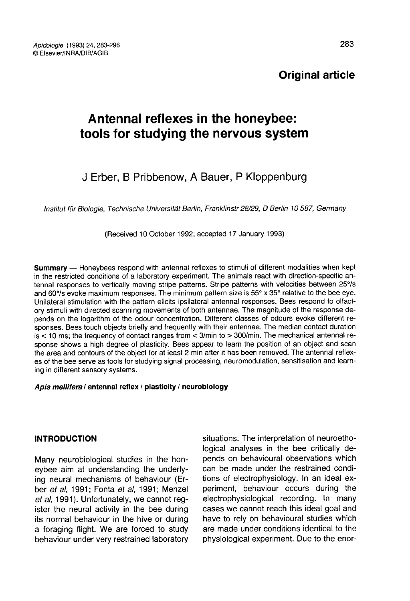# Original article

# Antennal reflexes in the honeybee: tools for studying the nervous system

# J Erber, B Pribbenow, A Bauer, P Kloppenburg

Institut für Biologie, Technische Universität Berlin, Franklinstr 28/29, D Berlin 10 587, Germany

(Received 10 October 1992; accepted 17 January 1993)

Summary — Honeybees respond with antennal reflexes to stimuli of different modalities when kept in the restricted conditions of a laboratory experiment. The animals react with direction-specific antennal responses to vertically moving stripe patterns. Stripe patterns with velocities between 25°/s and 60°/s evoke maximum responses. The minimum pattern size is 55° x 35° relative to the bee eye. Unilateral stimulation with the pattern elicits ipsilateral antennal responses. Bees respond to olfactory stimuli with directed scanning movements of both antennae. The magnitude of the response depends on the logarithm of the odour concentration. Different classes of odours evoke different responses. Bees touch objects briefly and frequently with their antennae. The median contact duration  $is < 10$  ms; the frequency of contact ranges from  $<$  3/min to  $>$  300/min. The mechanical antennal response shows a high degree of plasticity. Bees appear to learn the position of an object and scan the area and contours of the object for at least 2 min after it has been removed. The antennal reflexes of the bee serve as tools for studying signal processing, neuromodulation, sensitisation and learning in different sensory systems.

#### Apis mellifera / antennal reflex / plasticity / neurobiology

## INTRODUCTION

Many neurobiological studies in the honeybee aim at understanding the underlying neural mechanisms of behaviour (Erber et al, 1991; Fonta et al, 1991; Menzel et al, 1991). Unfortunately, we cannot register the neural activity in the bee during its normal behaviour in the hive or during a foraging flight. We are forced to study behaviour under very restrained laboratory situations. The interpretation of neuroethological analyses in the bee critically depends on behavioural observations which can be made under the restrained conditions of electrophysiology. In an ideal experiment, behaviour occurs during the electrophysiological recording. In many cases we cannot reach this ideal goal and have to rely on behavioural studies which are made under conditions identical to the physiological experiment. Due to the enor-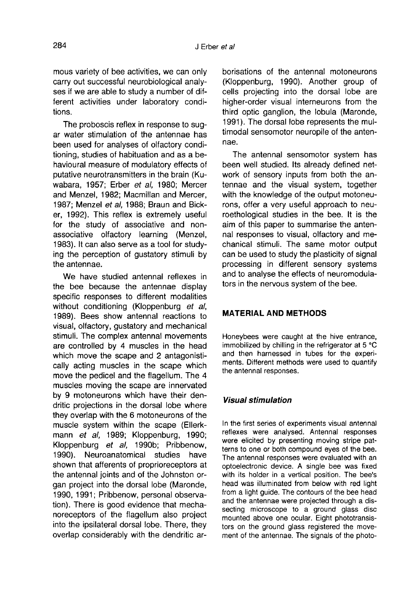The proboscis reflex in response to sugar water stimulation of the antennae has been used for analyses of olfactory conditioning, studies of habituation and as a behavioural measure of modulatory effects of putative neurotransmitters in the brain (Kuwabara, 1957; Erber et al, 1980; Mercer and Menzel, 1982; Macmillan and Mercer, 1987; Menzel et al, 1988; Braun and Bicker, 1992). This reflex is extremely useful for the study of associative and nonassociative olfactory learning (Menzel, 1983). It can also serve as a tool for studying the perception of gustatory stimuli by the antennae.

We have studied antennal reflexes in the bee because the antennae display specific responses to different modalities without conditioning (Kloppenburg et al, 1989). Bees show antennal reactions to visual, olfactory, gustatory and mechanical stimuli. The complex antennal movements are controlled by 4 muscles in the head which move the scape and 2 antagonistically acting muscles in the scape which move the pedicel and the flagellum. The 4 muscles moving the scape are innervated by 9 motoneurons which have their dendritic projections in the dorsal lobe where they overlap with the 6 motoneurons of the muscle system within the scape (Ellerk mann et al, 1989; Kloppenburg, 1990; Kloppenburg et al, 1990b; Pribbenow, 1990). Neuroanatomical studies have shown that afferents of proprioreceptors at the antennal joints and of the Johnston organ project into the dorsal lobe (Maronde, 1990, 1991; Pribbenow, personal observation). There is good evidence that mechanoreceptors of the flagellum also project into the ipsilateral dorsal lobe. There, they overlap considerably with the dendritic arborisations of the antennal motoneurons (Kloppenburg, 1990). Another group of cells projecting into the dorsal lobe are higher-order visual interneurons from the third optic ganglion, the lobula (Maronde, 1991). The dorsal lobe represents the multimodal sensomotor neuropile of the antennae.

The antennal sensomotor system has been well studied. Its already defined network of sensory inputs from both the antennae and the visual system, together with the knowledge of the output motoneurons, offer a very useful approach to neuroethological studies in the bee. It is the aim of this paper to summarise the antennal responses to visual, olfactory and mechanical stimuli. The same motor output can be used to study the plasticity of signal processing in different sensory systems and to analyse the effects of neuromodulators in the nervous system of the bee.

# MATERIAL AND METHODS

Honeybees were caught at the hive entrance, immobilized by chilling in the refrigerator at 5 °C and then harnessed in tubes for the experi ments. Different methods were used to quantify the antennal responses.

## Visual stimulation

In the first series of experiments visual antennal reflexes were analysed. Antennal responses were elicited by presenting moving stripe pat terns to one or both compound eyes of the bee. The antennal responses were evaluated with an optoelectronic device. A single bee was fixed with its holder in a vertical position. The bee's head was illuminated from below with red light from a light guide. The contours of the bee head and the antennae were projected through a dissecting microscope to a ground glass disc mounted above one ocular. Eight phototransis tors on the ground glass registered the movement of the antennae. The signals of the photo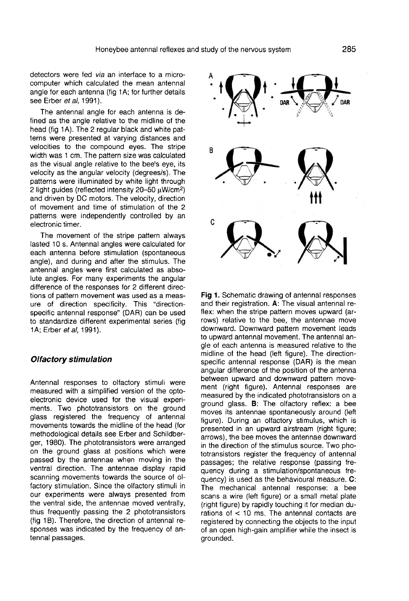detectors were fed via an interface to a microcomputer which calculated the mean antennal angle for each antenna (fig 1A; for further details see Erber et al, 1991).

The antennal angle for each antenna is defined as the angle relative to the midline of the head (fig 1A). The 2 regular black and white patterns were presented at varying distances and velocities to the compound eyes. The stripe width was 1 cm. The pattern size was calculated as the visual angle relative to the bee's eye, its velocity as the angular velocity (degrees/s). The patterns were illuminated by white light through 2 light and driven by DC motors. The velocity, direction visual angle relative to the bee's eye, its<br>y as the angular velocity (degrees/s). The<br>is were illuminated by white light through<br>guides (reflected intensity 20-50  $\mu$ W/cm<sup>2</sup>)<br>iven by DC motors. The velocity, direction of movement and time of stimulation of the 2 patterns were independently controlled by an electronic timer.

The movement of the stripe pattern always lasted 10 s. Antennal angles were calculated for each antenna before stimulation (spontaneous angle), and during and after the stimulus. The antennal angles were first calculated as absolute angles. For many experiments the angular difference of the responses for 2 different directions of pattern movement was used as a measure of direction specificity. This "directionspecific antennal response" (DAR) can be used to standardize different experimental series (fig 1A; Erber et al, 1991).

#### Olfactory stimulation

Antennal responses to olfactory stimuli were measured with a simplified version of the optoelectronic device used for the visual experi ments. Two phototransistors on the ground glass registered the frequency of antennal movements towards the midline of the head (for methodological details see Erber and Schildberger, 1980). The phototransistors were arranged on the ground glass at positions which were passed by the antennae when moving in the ventral direction. The antennae display rapid scanning movements towards the source of olfactory stimulation. Since the olfactory stimuli in our experiments were always presented from the ventral side, the antennae moved ventrally, thus frequently passing the 2 phototransistors (fig 1B). Therefore, the direction of antennal responses was indicated by the frequency of antennal passages.



Fig 1. Schematic drawing of antennal responses and their registration. A: The visual antennal reflex: when the stripe pattern moves upward (arrows) relative to the bee, the antennae move downward. Downward pattern movement leads to upward antennal movement. The antennal angle of each antenna is measured relative to the midline of the head (left figure). The directionspecific antennal response (DAR) is the mean angular difference of the position of the antenna between upward and downward pattern movement (right figure). Antennal responses are measured by the indicated phototransistors on a ground glass. B: The olfactory reflex: a bee moves its antennae spontaneously around (left figure). During an olfactory stimulus, which is presented in an upward airstream (right figure; arrows), the bee moves the antennae downward in the direction of the stimulus source. Two phototransistors register the frequency of antennal passages; the relative response (passing frequency during a stimulation/spontaneous frequency) is used as the behavioural measure. C: The mechanical antennal response: a bee scans a wire (left figure) or a small metal plate (right figure) by rapidly touching it for median durations of  $<$  10 ms. The antennal contacts are registered by connecting the objects to the input of an open high-gain amplifier while the insect is grounded.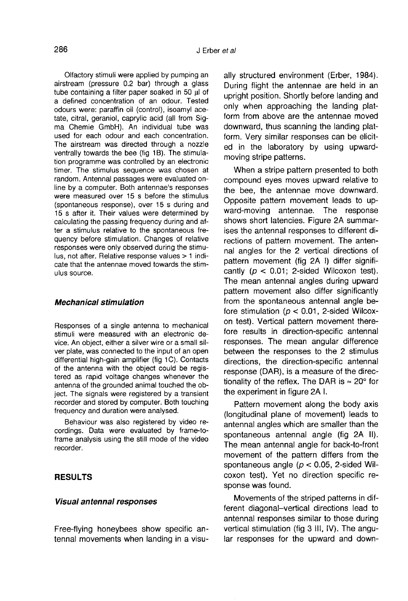Olfactory stimuli were applied by pumping an airstream (pressure 0.2 bar) through a glass tube containing a filter paper soaked in 50 μl of a defined concentration of an odour. Tested odours were: paraffin oil (control), isoamyl ace-<br>tate, citral, geraniol, caprylic acid (all from Sigma Chemie GmbH). An individual tube was used for each odour and each concentration. The airstream was directed through a nozzle ventrally towards the bee (fig 1B). The stimulation programme was controlled by an electronic timer. The stimulus sequence was chosen at random. Antennal passages were evaluated online by a computer. Both antennae's responses were measured over 15 s before the stimulus (spontaneous response), over 15 s during and 15 s after it. Their values were determined by calculating the passing frequency during and after a stimulus relative to the spontaneous frequency before stimulation. Changes of relative responses were only observed during the stimulus, not after. Relative response values > 1 indicate that the antennae moved towards the stimulus source.

#### Mechanical stimulation

Responses of a single antenna to mechanical stimuli were measured with an electronic device. An object, either a silver wire or a small silver plate, was connected to the input of an open differential high-gain amplifier (fig 1C). Contacts of the antenna with the object could be registered as rapid voltage changes whenever the antenna of the grounded animal touched the object. The signals were registered by a transient recorder and stored by computer. Both touching frequency and duration were analysed.

Behaviour was also registered by video recordings. Data were evaluated by frame-toframe analysis using the still mode of the video recorder.

# RESULTS

#### Visual antennal responses

Free-flying honeybees show specific antennal movements when landing in a visually structured environment (Erber, 1984). During flight the antennae are held in an upright position. Shortly before landing and only when approaching the landing platform from above are the antennae moved downward, thus scanning the landing platform. Very similar responses can be elicited in the laboratory by using upwardmoving stripe patterns.

When a stripe pattern presented to both compound eyes moves upward relative to the bee, the antennae move downward. Opposite pattern movement leads to upward-moving antennae. The response shows short latencies. Figure 2A summarises the antennal responses to different directions of pattern movement. The antennal angles for the 2 vertical directions of pattern movement (fig 2A I) differ significantly ( $p < 0.01$ ; 2-sided Wilcoxon test). The mean antennal angles during upward pattern movement also differ significantly from the spontaneous antennal angle before stimulation ( $p < 0.01$ , 2-sided Wilcoxon test). Vertical pattern movement therefore results in direction-specific antennal responses. The mean angular difference between the responses to the 2 stimulus directions, the direction-specific antennal response (DAR), is a measure of the directionality of the reflex. The DAR is  $\approx 20^\circ$  for the experiment in figure 2A I.

Pattern movement along the body axis (longitudinal plane of movement) leads to antennal angles which are smaller than the spontaneous antennal angle (fig 2A II). The mean antennal angle for back-to-front movement of the pattern differs from the spontaneous angle ( $p < 0.05$ , 2-sided Wilcoxon test). Yet no direction specific response was found.

Movements of the striped patterns in different diagonal-vertical directions lead to antennal responses similar to those during vertical stimulation (fig 3 III, IV). The angular responses for the upward and down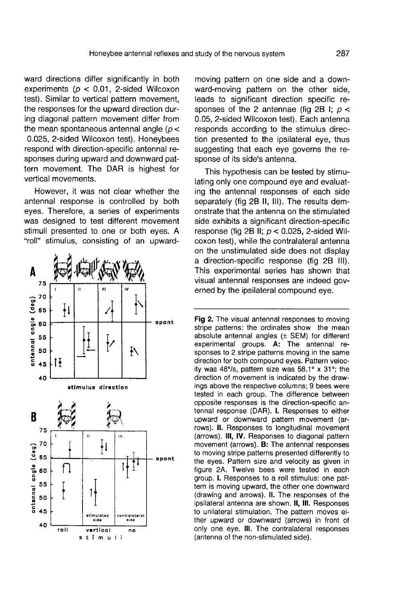ward directions differ significantly in both experiments ( $p < 0.01$ , 2-sided Wilcoxon test). Similar to vertical pattern movement, the responses for the upward direction during diagonal pattern movement differ from the mean spontaneous antennal angle ( $p <$ 0.025, 2-sided Wilcoxon test). Honeybees respond with direction-specific antennal responses during upward and downward pattern movement. The DAR is highest for vertical movements.

However, it was not clear whether the antennal response is controlled by both eyes. Therefore, a series of experiments was designed to test different movement stimuli presented to one or both eyes. A "roll" stimulus, consisting of an upward-



moving pattern on one side and a downward-moving pattern on the other side, leads to significant direction specific responses of the 2 antennae (fig 2B I;  $p <$ 0.05, 2-sided Wilcoxon test). Each antenna responds according to the stimulus direction presented to the ipsilateral eye, thus suggesting that each eye governs the response of its side's antenna.

This hypothesis can be tested by stimulating only one compound eye and evaluating the antennal responses of each side separately (fig 2B II, III). The results demonstrate that the antenna on the stimulated side exhibits a significant direction-specific response (fig 2B II;  $p < 0.025$ , 2-sided Wilcoxon test), while the contralateral antenna on the unstimulated side does not display a direction-specific response (fig 2B III). This experimental series has shown that visual antennal responses are indeed governed by the ipsilateral compound eye.

Fig 2. The visual antennal responses to moving stripe patterns: the ordinates show the mean absolute antennal angles (± SEM) for different experimental groups. A: The antennal responses to 2 stripe patterns moving in the same direction for both compound eyes. Pattern velocity was 48%, pattern size was 58.1° x 31°; the direction of movement is indicated by the drawings above the respective columns; 9 bees were tested in each group. The difference between opposite responses is the direction-specific antennal response (DAR). I. Responses to either upward or downward pattern movement (arrows). II. Responses to longitudinal movement (arrows). III, IV. Responses to diagonal pattern movement (arrows). B: The antennal responses to moving stripe patterns presented differently to the eyes. Pattern size and velocity as given in figure 2A. Twelve bees were tested in each group. I. Responses to a roll stimulus: one pattern is moving upward, the other one downward (drawing and arrows). II. The responses of the ipsilateral antenna are shown. II. III. Responses to unilateral stimulation. The pattern moves either upward or downward (arrows) in front of only one eye. III. The contralateral responses (antenna of the non-stimulated side).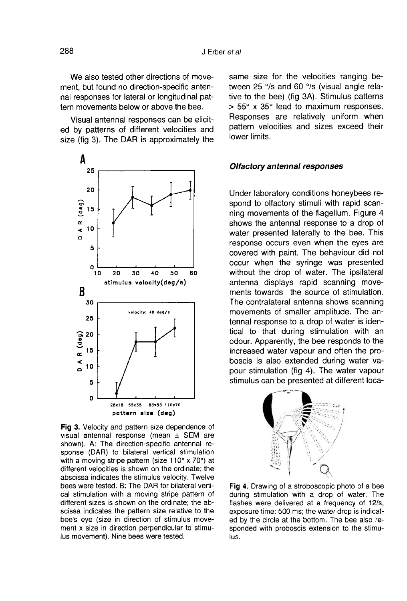We also tested other directions of movement, but found no direction-specific antennal responses for lateral or longitudinal pattern movements below or above the bee.

Visual antennal responses can be elicited by patterns of different velocities and size (fig 3). The DAR is approximately the



Fig 3. Velocity and pattern size dependence of visual antennal response (mean ± SEM are shown). A: The direction-specific antennal response (DAR) to bilateral vertical stimulation with a moving stripe pattern (size 110° x 70°) at different velocities is shown on the ordinate; the abscissa indicates the stimulus velocity. Twelve bees were tested. B: The DAR for bilateral vertical stimulation with a moving stripe pattern of different sizes is shown on the ordinate; the abscissa indicates the pattern size relative to the bee's eye (size in direction of stimulus movement x size in direction perpendicular to stimulus movement). Nine bees were tested.

same size for the velocities ranging between 25 °/s and 60 °/s (visual angle relative to the bee) (fig 3A). Stimulus patterns  $> 55^{\circ}$  x 35° lead to maximum responses. Responses are relatively uniform when pattern velocities and sizes exceed their lower limits.

#### Olfactory antennal responses

Under laboratory conditions honeybees respond to olfactory stimuli with rapid scanning movements of the flagellum. Figure 4 shows the antennal response to a drop of water presented laterally to the bee. This response occurs even when the eyes are covered with paint. The behaviour did not occur when the syringe was presented without the drop of water. The ipsilateral antenna displays rapid scanning movements towards the source of stimulation. The contralateral antenna shows scanning movements of smaller amplitude. The antennal response to a drop of water is identical to that during stimulation with an odour. Apparently, the bee responds to the increased water vapour and often the proboscis is also extended during water vapour stimulation (fig 4). The water vapour stimulus can be presented at different loca-



Fig 4. Drawing of a stroboscopic photo of a bee during stimulation with a drop of water. The flashes were delivered at a frequency of 12/s, exposure time: 500 ms; the water drop is indicated by the circle at the bottom. The bee also responded with proboscis extension to the stimulus.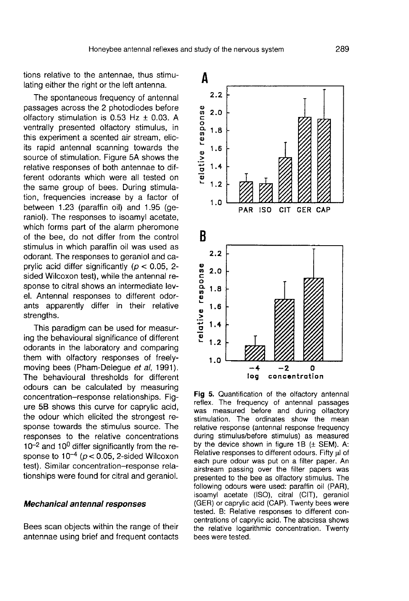tions relative to the antennae, thus stimulating either the right or the left antenna.

The spontaneous frequency of antennal passages across the 2 photodiodes before olfactory stimulation is  $0.53$  Hz  $\pm$  0.03. A ventrally presented olfactory stimulus, in this experiment a scented air stream, elicits rapid antennal scanning towards the source of stimulation. Figure 5A shows the relative responses of both antennae to different odorants which were all tested on the same group of bees. During stimulation, frequencies increase by a factor of between 1.23 (paraffin oil) and 1.95 (geraniol). The responses to isoamyl acetate, which forms part of the alarm pheromone of the bee, do not differ from the control stimulus in which paraffin oil was used as odorant. The responses to geraniol and caprylic acid differ significantly ( $p < 0.05$ , 2sided Wilcoxon test), while the antennal response to citral shows an intermediate level. Antennal responses to different odorants apparently differ in their relative strengths.

This paradigm can be used for measuring the behavioural significance of different odorants in the laboratory and comparing them with olfactory responses of freelymoving bees (Pham-Delegue et al, 1991). The behavioural thresholds for different odours can be calculated by measuring concentration-response relationships. Fig ure 5B shows this curve for caprylic acid, the odour which elicited the strongest response towards the stimulus source. The responses to the relative concentrations  $10^{-2}$  and  $10^{0}$  differ significantly from the response to  $10^{-4}$  ( $p < 0.05$ , 2-sided Wilcoxon test). Similar concentration-response relationships were found for citral and geraniol.

#### Mechanical antennal responses

Bees scan objects within the range of their antennae using brief and frequent contacts



Fig 5. Quantification of the olfactory antennal reflex. The frequency of antennal passages was measured before and during olfactory stimulation. The ordinates show the mean relative response (antennal response frequency during stimulus/before stimulus) as measured by the device shown in figure 1B  $(\pm$  SEM). A: Relative responses to different odours. Fifty ul of each pure odour was put on a filter paper. An airstream passing over the filter papers was presented to the bee as olfactory stimulus. The following odours were used: paraffin oil (PAR), isoamyl acetate (ISO), citral (CIT), geraniol (GER) or caprylic acid (CAP). Twenty bees were tested. B: Relative responses to different concentrations of caprylic acid. The abscissa shows the relative logarithmic concentration. Twenty bees were tested.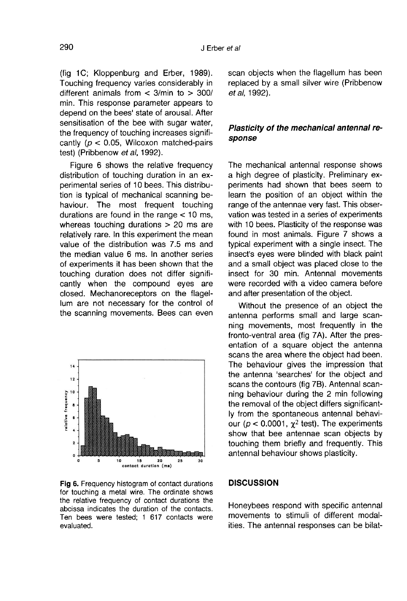(fig 1C; Kloppenburg and Erber, 1989). Touching frequency varies considerably in different animals from  $<$  3/min to  $>$  300/ min. This response parameter appears to depend on the bees' state of arousal. After sensitisation of the bee with sugar water, the frequency of touching increases significantly ( $p < 0.05$ , Wilcoxon matched-pairs test) (Pribbenow et al, 1992).

Figure 6 shows the relative frequency distribution of touching duration in an experimental series of 10 bees. This distribution is typical of mechanical scanning behaviour. The most frequent touching durations are found in the range < 10 ms, whereas touching durations > 20 ms are relatively rare. In this experiment the mean value of the distribution was 7.5 ms and the median value 6 ms. In another series of experiments it has been shown that the touching duration does not differ significantly when the compound eyes are closed. Mechanoreceptors on the flagellum are not necessary for the control of the scanning movements. Bees can even



Fig 6. Frequency histogram of contact durations for touching a metal wire. The ordinate shows the relative frequency of contact durations the abcissa indicates the duration of the contacts. Ten bees were tested: 1 617 contacts were evaluated.

scan objects when the flagellum has been replaced by a small silver wire (Pribbenow et al, 1992).

# Plasticity of the mechanical antennal response

The mechanical antennal response shows a high degree of plasticity. Preliminary experiments had shown that bees seem to learn the position of an object within the range of the antennae very fast. This observation was tested in a series of experiments with 10 bees. Plasticity of the response was found in most animals. Figure 7 shows a typical experiment with a single insect. The insect's eyes were blinded with black paint and a small object was placed close to the insect for 30 min. Antennal movements were recorded with a video camera before and after presentation of the object.

Without the presence of an object the antenna performs small and large scanning movements, most frequently in the fronto-ventral area (fig 7A). After the presentation of a square object the antenna scans the area where the object had been. The behaviour gives the impression that the antenna 'searches' for the object and scans the contours (fig 7B). Antennal scan-<br>ning behaviour during the 2 min following<br>the removal of the object differs significant-<br>ly from the spontaneous antennal behavi-<br>our ( $p < 0.0001$ ,  $\chi^2$  test). The experiments ning behaviour during the 2 min following the removal of the object differs significantly from the spontaneous antennal behaviour ( $p < 0.0001$ ,  $\chi^2$  test). The experiments show that bee antennae scan objects by touching them briefly and frequently. This antennal behaviour shows plasticity.

#### **DISCUSSION**

Honeybees respond with specific antennal movements to stimuli of different modalities. The antennal responses can be bilat-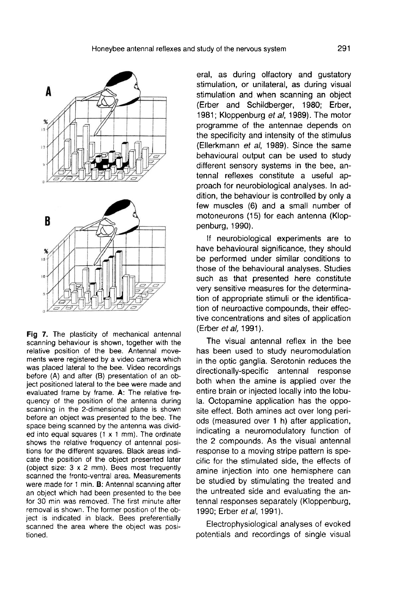

Fig 7. The plasticity of mechanical antennal scanning behaviour is shown, together with the relative position of the bee. Antennal movements were registered by a video camera which was placed lateral to the bee. Video recordings before (A) and after (B) presentation of an object positioned lateral to the bee were made and evaluated frame by frame. A: The relative frequency of the position of the antenna during scanning in the 2-dimensional plane is shown before an object was presented to the bee. The space being scanned by the antenna was divided into equal squares  $(1 \times 1 \text{ mm})$ . The ordinate shows the relative frequency of antennal positions for the different squares. Black areas indicate the position of the object presented later (object size: 3 x 2 mm). Bees most frequently scanned the fronto-ventral area. Measurements were made for 1 min. B: Antennal scanning after an object which had been presented to the bee for 30 min was removed. The first minute after removal is shown. The former position of the object is indicated in black. Bees preferentially scanned the area where the object was positioned.

eral, as during olfactory and gustatory stimulation, or unilateral, as during visual stimulation and when scanning an object (Erber and Schildberger, 1980; Erber, 1981; Kloppenburg et al, 1989). The motor programme of the antennae depends on the specificity and intensity of the stimulus (Ellerkmann et al, 1989). Since the same behavioural output can be used to study different sensory systems in the bee, antennal reflexes constitute a useful approach for neurobiological analyses. In addition, the behaviour is controlled by only a few muscles (6) and a small number of motoneurons (15) for each antenna (Kloppenburg, 1990).

If neurobiological experiments are to have behavioural significance, they should be performed under similar conditions to those of the behavioural analyses. Studies such as that presented here constitute very sensitive measures for the determination of appropriate stimuli or the identification of neuroactive compounds, their effective concentrations and sites of application (Erber et al, 1991).

The visual antennal reflex in the bee has been used to study neuromodulation in the optic ganglia. Serotonin reduces the<br>directionally-specific antennal response directionally-specific antennal both when the amine is applied over the entire brain or injected locally into the lobula. Octopamine application has the opposite effect. Both amines act over long periods (measured over 1 h) after application, indicating a neuromodulatory function of the 2 compounds. As the visual antennal response to a moving stripe pattern is specific for the stimulated side, the effects of amine injection into one hemisphere can be studied by stimulating the treated and the untreated side and evaluating the antennal responses separately (Kloppenburg, 1990; Erber et al, 1991).

Electrophysiological analyses of evoked potentials and recordings of single visual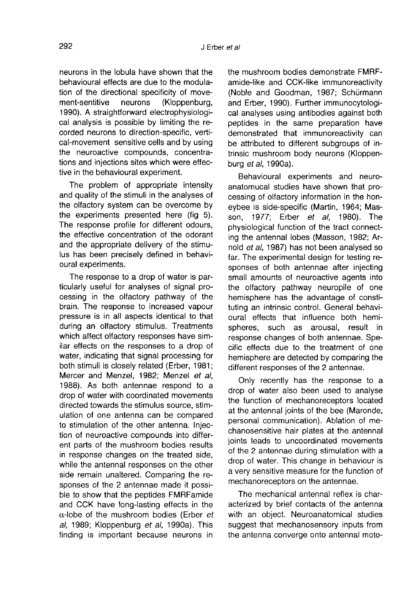neurons in the lobula have shown that the behavioural effects are due to the modulation of the directional specificity of movement-sentitive neurons (Kloppenburg, 1990). A straightforward electrophysiological analysis is possible by limiting the recorded neurons to direction-specific, vertical-movement sensitive cells and by using the neuroactive compounds, concentrations and injections sites which were effective in the behavioural experiment.

The problem of appropriate intensity and quality of the stimuli in the analyses of the olfactory system can be overcome by the experiments presented here (fig 5). The response profile for different odours, the effective concentration of the odorant and the appropriate delivery of the stimulus has been precisely defined in behavioural experiments.

The response to a drop of water is particularly useful for analyses of signal processing in the olfactory pathway of the brain. The response to increased vapour pressure is in all aspects identical to that during an olfactory stimulus. Treatments which affect olfactory responses have similar effects on the responses to a drop of water, indicating that signal processing for both stimuli is closely related (Erber, 1981; Mercer and Menzel, 1982; Menzel et al, 1988). As both antennae respond to a drop of water with coordinated movements directed towards the stimulus source, stimulation of one antenna can be compared to stimulation of the other antenna. Injection of neuroactive compounds into different parts of the mushroom bodies results in response changes on the treated side, while the antennal responses on the other side remain unaltered. Comparing the responses of the 2 antennae made it possible to show that the peptides FMRFamide and CCK have long-lasting effects in the  $\alpha$ -lobe of the mushroom bodies (Erber et al, 1989; Kloppenburg et al, 1990a). This finding is important because neurons in

the mushroom bodies demonstrate FMRFamide-like and CCK-like immunoreactivity (Noble and Goodman, 1987; Schürmann and Erber, 1990). Further immunocytological analyses using antibodies against both peptides in the same preparation have demonstrated that immunoreactivity can be attributed to different subgroups of intrinsic mushroom body neurons (Kloppenburg et al, 1990a).

Behavioural experiments and neuroanatomucal studies have shown that processing of olfactory information in the honeybee is side-specific (Martin, 1964; Masson, 1977; Erber et al, 1980). The physiological function of the tract connecting the antennal lobes (Masson, 1982; Arnold et al, 1987) has not been analysed so far. The experimental design for testing responses of both antennae after injecting small amounts of neuroactive agents into the olfactory pathway neuropile of one hemisphere has the advantage of constituting an intrinsic control. General behavioural effects that influence both hemispheres, such as arousal, result in response changes of both antennae. Specific effects due to the treatment of one hemisphere are detected by comparing the different responses of the 2 antennae.

Only recently has the response to a drop of water also been used to analyse the function of mechanoreceptors located at the antennal joints of the bee (Maronde, personal communication). Ablation of mechanosensitive hair plates at the antennal joints leads to uncoordinated movements of the 2 antennae during stimulation with a drop of water. This change in behaviour is a very sensitive measure for the function of mechanoreceptors on the antennae.

The mechanical antennal reflex is characterized by brief contacts of the antenna with an object. Neuroanatomical studies suggest that mechanosensory inputs from the antenna converge onto antennal moto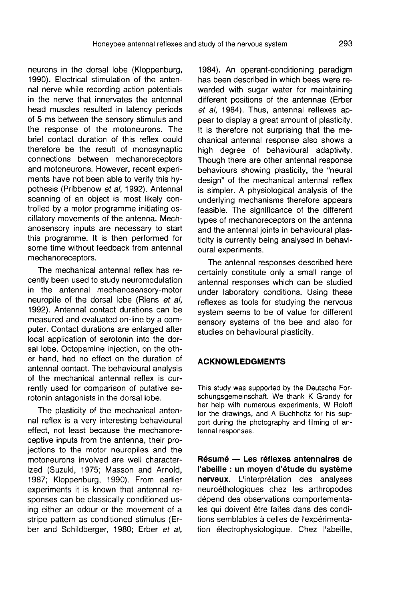neurons in the dorsal lobe (Kloppenburg, 1990). Electrical stimulation of the antennal nerve while recording action potentials in the nerve that innervates the antennal head muscles resulted in latency periods of 5 ms between the sensory stimulus and the response of the motoneurons. The brief contact duration of this reflex could therefore be the result of monosynaptic connections between mechanoreceptors and motoneurons. However, recent experiments have not been able to verify this hypothesis (Pribbenow et al, 1992). Antennal scanning of an object is most likely controlled by a motor programme initiating oscillatory movements of the antenna. Mechanosensory inputs are necessary to start this programme. It is then performed for some time without feedback from antennal mechanoreceptors.

The mechanical antennal reflex has recently been used to study neuromodulation in the antennal mechanosensory-motor neuropile of the dorsal lobe (Riens et al, 1992). Antennal contact durations can be measured and evaluated on-line by a computer. Contact durations are enlarged after local application of serotonin into the dorsal lobe. Octopamine injection, on the other hand, had no effect on the duration of antennal contact. The behavioural analysis of the mechanical antennal reflex is currently used for comparison of putative serotonin antagonists in the dorsal lobe.

The plasticity of the mechanical antennal reflex is a very interesting behavioural effect, not least because the mechanoreceptive inputs from the antenna, their projections to the motor neuropiles and the motoneurons involved are well characterized (Suzuki, 1975; Masson and Arnold, 1987; Kloppenburg, 1990). From earlier experiments it is known that antennal responses can be classically conditioned using either an odour or the movement of a stripe pattern as conditioned stimulus (Erber and Schildberger, 1980; Erber et al,

1984). An operant-conditioning paradigm has been described in which bees were rewarded with sugar water for maintaining different positions of the antennae (Erber et al, 1984). Thus, antennal reflexes appear to display a great amount of plasticity. It is therefore not surprising that the mechanical antennal response also shows a high degree of behavioural adaptivity. Though there are other antennal response behaviours showing plasticity, the "neural design" of the mechanical antennal reflex is simpler. A physiological analysis of the underlying mechanisms therefore appears feasible. The significance of the different types of mechanoreceptors on the antenna and the antennal joints in behavioural plasticity is currently being analysed in behavioural experiments.

The antennal responses described here certainly constitute only a small range of antennal responses which can be studied under laboratory conditions. Using these reflexes as tools for studying the nervous system seems to be of value for different sensory systems of the bee and also for studies on behavioural plasticity.

# ACKNOWLEDGMENTS

This study was supported by the Deutsche Forschungsgemeinschaft. We thank K Grandy for her help with numerous experiments, W Roloff for the drawings, and A Buchholtz for his support during the photography and filming of antennal responses.

Résumé — Les réflexes antennaires de l'abeille : un moyen d'étude du système nerveux. L'interprétation des analyses neuroéthologiques chez les arthropodes dépend des observations comportementales qui doivent être faites dans des conditions semblables à celles de l'expérimentation électrophysiologique. Chez l'abeille,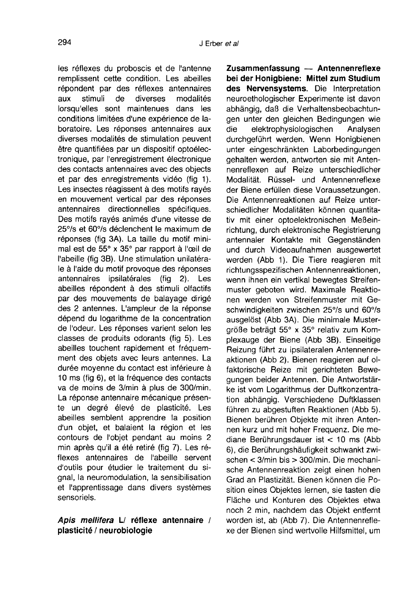les réflexes du proboscis et de l'antenne remplissent cette condition. Les abeilles répondent par des réflexes antennaires<br>aux stimuli de diverses modalités aux stimuli de diverses modalités lorsqu'elles sont maintenues dans les conditions limitées d'une expérience de laboratoire. Les réponses antennaires aux diverses modalités de stimulation peuvent être quantifiées par un dispositif optoélectronique, par l'enregistrement électronique des contacts antennaires avec des objects et par des enregistrements vidéo (fig 1). Les insectes réagissent à des motifs rayés en mouvement vertical par des réponses antennaires directionnelles spécifiques. Des motifs rayés animés d'une vitesse de 25°/s et 60°/s déclenchent le maximum de réponses (fig 3A). La taille du motif minimal est de 55° x 35° par rapport à l'œil de l'abeille (fig 3B). Une stimulation unilatérale à l'aide du motif provoque des réponses antennaires ipsilatérales (fig 2). Les abeilles répondent à des stimuli olfactifs par des mouvements de balayage dirigé des 2 antennes. L'ampleur de la réponse dépend du logarithme de la concentration de l'odeur. Les réponses varient selon les classes de produits odorants (fig 5). Les abeilles touchent rapidement et fréquemment des objets avec leurs antennes. La durée moyenne du contact est inférieure à 10 ms (fig 6), et la fréquence des contacts va de moins de 3/min à plus de 300/min. La réponse antennaire mécanique présente un degré élevé de plasticité. Les abeilles semblent apprendre la position d'un objet, et balaient la région et les contours de l'objet pendant au moins 2 min après qu'il a été retiré (fig 7). Les réflexes antennaires de l'abeille servent d'outils pour étudier le traitement du signal, la neuromodulation, la sensibilisation et l'apprentissage dans divers systèmes sensoriels.

# Apis mellifera L/ réflexe antennaire / plasticité / neurobiologie

Zusammenfassung — Antennenreflexe bei der Honigbiene: Mittel zum Studium des Nervensystems. Die Interpretation neuroethologischer Experimente ist davon abhängig, daß die Verhaltensbeobachtungen unter den gleichen Bedingungen wie<br>die elektrophysiologischen Analysen elektrophysiologischen durchgeführt werden. Wenn Honigbienen unter eingeschränkten Laborbedingungen gehalten werden, antworten sie mit Antennenreflexen auf Reize unterschiedlicher Modalität. Rüssel- und Antennenreflexe der Biene erfüllen diese Voraussetzungen. Die Antennenreaktionen auf Reize unterschiedlicher Modalitäten können quantitativ mit einer optoelektronischen Meßeinrichtung, durch elektronische Registrierung antennaler Kontakte mit Gegenständen und durch Videoaufnahmen ausgewertet werden (Abb 1). Die Tiere reagieren mit richtungsspezifischen Antennenreaktionen, wenn ihnen ein vertikal bewegtes Streifenmuster geboten wird. Maximale Reaktionen werden von Streifenmuster mit Geschwindigkeiten zwischen 25°/s und 60°/s ausgelöst (Abb 3A). Die minimale Mustergröße beträgt 55° x 35° relativ zum Komplexauge der Biene (Abb 3B). Einseitige Reizung führt zu ipsilateralen Antennenreaktionen (Abb 2). Bienen reagieren auf olfaktorische Reize mit gerichteten Bewegungen beider Antennen. Die Antwortstärke ist vom Logarithmus der Duftkonzentration abhängig. Verschiedene Duftklassen führen zu abgestuften Reaktionen (Abb 5). Bienen berühren Objekte mit ihren Antennen kurz und mit hoher Frequenz. Die mediane Berührungsdauer ist < 10 ms (Abb 6), die Berührungshäufigkeit schwankt zwischen < 3/min bis > 300/min. Die mechanische Antennenreaktion zeigt einen hohen Grad an Plastizität. Bienen können die Position eines Objektes lernen, sie tasten die Fläche und Konturen des Objektes etwa noch 2 min, nachdem das Objekt entfernt worden ist, ab (Abb 7). Die Antennenreflexe der Bienen sind wertvolle Hilfsmittel, um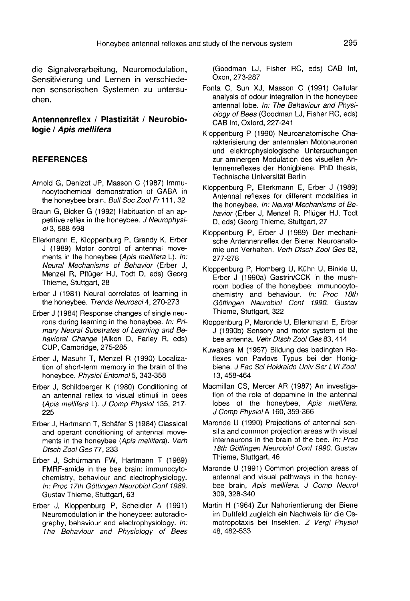die Signalverarbeitung, Neuromodulation, Sensitivierung und Lernen in verschiedenen sensorischen Systemen zu untersuchen.

# Antennenreflex / Plastizität / Neurobiologie / Apis mellifera

# **REFERENCES**

- Arnold G, Denizot JP, Masson C (1987) Immunocytochemical demonstration of GABA in the honeybee brain. Bull Soc Zool Fr 111, 32
- Braun G, Bicker G (1992) Habituation of an appetitive reflex in the honeybee. J Neurophysiol 3,588-598
- Ellerkmann E, Kloppenburg P, Grandy K, Erber J (1989) Motor control of antennal movements in the honeybee (Apis mellifera L). In: Neural Mechanisms of Behavior (Erber J, Menzel R, Pflüger HJ, Todt D, eds) Georg Thieme, Stuttgart, 28
- Erber J (1981) Neural correlates of learning in the honeybee. Trends Neurosci 4, 270-273
- Erber J (1984) Response changes of single neurons during learning in the honeybee. In: Primary Neural Substrates of Learning and Behavioral Change (Alkon D, Farley R, eds) CUP, Cambridge, 275-285
- Erber J, Masuhr T, Menzel R (1990) Localization of short-term memory in the brain of the honeybee. Physiol Entomol 5, 343-358
- Erber J, Schildberger K (1980) Conditioning of an antennal reflex to visual stimuli in bees (Apis mellifera L). J Comp Physiol 135, 217- 225
- Erber J, Hartmann T, Schäfer S (1984) Classical and operant conditioning of antennal movements in the honeybee (Apis mellifera). Verh Dtsch Zool Ges 77, 233
- Erber J, Schürmann FW, Hartmann T (1989) FMRF-amide in the bee brain: immunocytochemistry, behaviour and electrophysiology. In: Proc 17th Göttingen Neurobiol Conf 1989. Gustav Thieme, Stuttgart, 63
- Erber J, Kloppenburg P, Scheidler A (1991) Neuromodulation in the honeybee: autoradiography, behaviour and electrophysiology. In: The Behaviour and Physiology of Bees

(Goodman LJ, Fisher RC, eds) CAB Int, Oxon, 273-287

- Fonta C, Sun XJ, Masson C (1991) Cellular analysis of odour integration in the honeybee antennal lobe. In: The Behaviour and Physiology of Bees (Goodman LJ, Fisher RC, eds) CAB Int, Oxford, 227-241
- Kloppenburg P (1990) Neuroanatomische Charakterisierung der antennalen Motoneuronen und elektrophysiologische Untersuchungen zur aminergen Modulation des visuellen Antennenreflexes der Honigbiene. PhD thesis, Technische Universität Berlin
- Kloppenburg P, Ellerkmann E, Erber J (1989) Antennal reflexes for different modalities in the honeybee. In: Neural Mechanisms of Behavior (Erber J. Menzel R. Pflüger HJ, Todt D, eds) Georg Thieme, Stuttgart, 27
- Kloppenburg P, Erber J (1989) Der mechanische Antennenreflex der Biene: Neuroanatomie und Verhalten. Verh Dtsch Zool Ges 82, 277-278
- Kloppenburg P, Homberg U, Kühn U, Binkle U, Erber J (1990a) Gastrin/CCK in the mushroom bodies of the honeybee: immunocytochemistry and behaviour. In: Proc 18th Göttingen Neurobiol Conf 1990. Gustav Thieme, Stuttgart, 322
- Kloppenburg P, Maronde U, Ellerkmann E, Erber J (1990b) Sensory and motor system of the bee antenna. Vehr Dtsch Zool Ges 83, 414
- Kuwabara M (1957) Bildung des bedingten Reflexes von Pavlovs Typus bei der Honigbiene. J Fac Sci Hokkaido Univ Ser LVI Zool 13, 458-464
- Macmillan CS, Mercer AR (1987) An investigation of the role of dopamine in the antennal lobes of the honeybee, Apis mellifera. J Comp Physiol A 160, 359-366
- Maronde U (1990) Projections of antennal sensilla and common projection areas with visual interneurons in the brain of the bee. In: Proc 18th Göttingen Neurobiol Conf 1990. Gustav Thieme, Stuttgart, 46
- Maronde U (1991) Common projection areas of antennal and visual pathways in the honeybee brain, Apis mellifera. J Comp Neurol 309, 328-340
- Martin H (1964) Zur Nahorientierung der Biene im Duftfeld zugleich ein Nachweis für die Osmotropotaxis bei Insekten. Z Vergl Physiol 48, 482-533